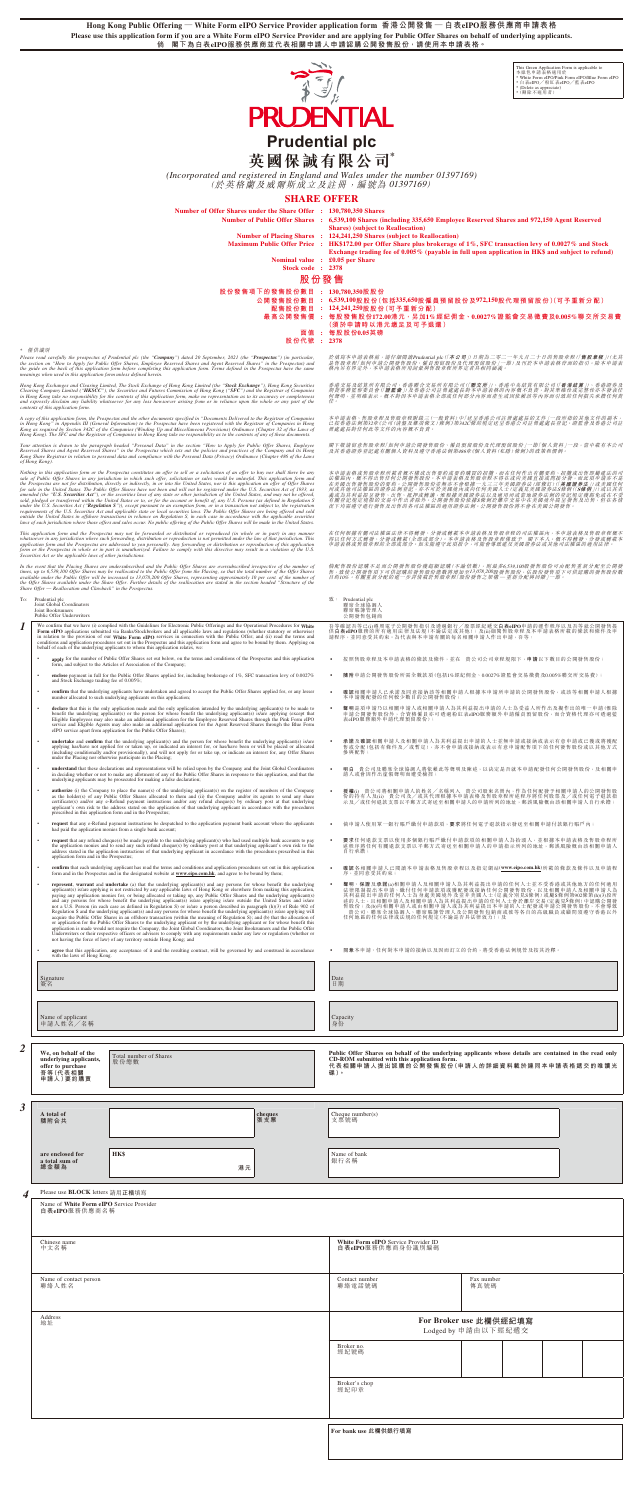**Hong Kong Public Offering — White Form eIPO Service Provider application form 香港公開發售 — 白表eIPO服務供應商申請表格 Please use this application form if you are a White Form eIPO Service Provider and are applying for Public Offer Shares on behalf of underlying applicants. 倘 閣下為白表eIPO服務供應商並代表相關申請人申請認購公開發售股份,請使用本申請表格。**



# **英國保誠有限公司\***

*(Incorporated and registered in England and Wales under the number 01397169)* (於英格蘭及威爾斯成立及註冊,編號為 01397169)

|                  | with the laws of Hong Kong.                                                                | not a U.S. Person (in each case as defined in Regulation S) or is/are a person described in paragraph (h)(3) of Rule 902 of<br>Regulation S and the underlying applicant(s) and any persons for whose benefit the underlying applicant(s) is/are applying will<br>acquire the Public Offer Shares in an offshore transaction (within the meaning of Regulation S); and (b) that the allocation of<br>or application for the Public Offer Shares to the underlying applicant or by the underlying applicant or for whose benefit this<br>application is made would not require the Company, the Joint Global Coordinators, the Joint Bookrunners and the Public Offer<br>Underwriters or their respective officers or advisers to comply with any requirements under any law or regulation (whether or<br>not having the force of law) of any territory outside Hong Kong; and<br>agree that this application, any acceptance of it and the resulting contract, will be governed by and construed in accordance | 售股份;及(b)向相關申請人或由相關申請人或為其利益提出本申請的人士配發或申請公開發售股份,不會導致<br>貴公司、聯席全球協調人、聯席賬簿管理人及公開發售包銷商或彼等各自的高級職員或顧問須遵守香港以外<br>任何地區的任何法律或法規的任何規定(不論是否具法律效力);及<br>同意本申請、任何對本申請的接納以及因而訂立的合約,將受香港法例規管及按其詮釋。<br>$\bullet$ |                                                                                                                                                                                                              |                    |  |  |  |
|------------------|--------------------------------------------------------------------------------------------|----------------------------------------------------------------------------------------------------------------------------------------------------------------------------------------------------------------------------------------------------------------------------------------------------------------------------------------------------------------------------------------------------------------------------------------------------------------------------------------------------------------------------------------------------------------------------------------------------------------------------------------------------------------------------------------------------------------------------------------------------------------------------------------------------------------------------------------------------------------------------------------------------------------------------------------------------------------------------------------------------------------|-------------------------------------------------------------------------------------------------------------------------------------------------------------------------------------------------|--------------------------------------------------------------------------------------------------------------------------------------------------------------------------------------------------------------|--------------------|--|--|--|
|                  | Signature<br>簽名                                                                            |                                                                                                                                                                                                                                                                                                                                                                                                                                                                                                                                                                                                                                                                                                                                                                                                                                                                                                                                                                                                                |                                                                                                                                                                                                 | Date<br>日期                                                                                                                                                                                                   |                    |  |  |  |
|                  | Name of applicant<br>申請人姓名/名稱                                                              |                                                                                                                                                                                                                                                                                                                                                                                                                                                                                                                                                                                                                                                                                                                                                                                                                                                                                                                                                                                                                |                                                                                                                                                                                                 | Capacity<br>身份                                                                                                                                                                                               |                    |  |  |  |
| $\boldsymbol{2}$ | We, on behalf of the<br>underlying applicants,<br>offer to purchase<br>吾等(代表相關<br>申請人)要約購買 | Total number of Shares<br>股份總數                                                                                                                                                                                                                                                                                                                                                                                                                                                                                                                                                                                                                                                                                                                                                                                                                                                                                                                                                                                 |                                                                                                                                                                                                 | Public Offer Shares on behalf of the underlying applicants whose details are contained in the read only<br>CD-ROM submitted with this application form.<br>代表相關申請人提出認購的公開發售股份(申請人的詳細資料載於連同本申請表格遞交的唯讀光<br>碟)。 |                    |  |  |  |
| 3                | A total of<br>隨附合共                                                                         |                                                                                                                                                                                                                                                                                                                                                                                                                                                                                                                                                                                                                                                                                                                                                                                                                                                                                                                                                                                                                | cheques<br>張支票                                                                                                                                                                                  | Cheque $number(s)$<br>支票號碼                                                                                                                                                                                   |                    |  |  |  |
|                  | are enclosed for<br>a total sum of<br>總金額為                                                 | HK\$<br>港元                                                                                                                                                                                                                                                                                                                                                                                                                                                                                                                                                                                                                                                                                                                                                                                                                                                                                                                                                                                                     |                                                                                                                                                                                                 | Name of bank<br>銀行名稱                                                                                                                                                                                         |                    |  |  |  |
| $\boldsymbol{4}$ | Please use <b>BLOCK</b> letters 請用正楷填寫                                                     |                                                                                                                                                                                                                                                                                                                                                                                                                                                                                                                                                                                                                                                                                                                                                                                                                                                                                                                                                                                                                |                                                                                                                                                                                                 |                                                                                                                                                                                                              |                    |  |  |  |
|                  | Name of White Form eIPO Service Provider<br>白表eIPO服務供應商名稱                                  |                                                                                                                                                                                                                                                                                                                                                                                                                                                                                                                                                                                                                                                                                                                                                                                                                                                                                                                                                                                                                |                                                                                                                                                                                                 |                                                                                                                                                                                                              |                    |  |  |  |
|                  | Chinese name<br>中文名稱                                                                       |                                                                                                                                                                                                                                                                                                                                                                                                                                                                                                                                                                                                                                                                                                                                                                                                                                                                                                                                                                                                                | White Form eIPO Service Provider ID<br>白表eIPO服務供應商身份識別編碼                                                                                                                                        |                                                                                                                                                                                                              |                    |  |  |  |
|                  | Name of contact person<br>聯絡人姓名                                                            |                                                                                                                                                                                                                                                                                                                                                                                                                                                                                                                                                                                                                                                                                                                                                                                                                                                                                                                                                                                                                |                                                                                                                                                                                                 | Contact number<br>聯絡電話號碼                                                                                                                                                                                     | Fax number<br>傳真號碼 |  |  |  |
|                  | Address<br>地址                                                                              |                                                                                                                                                                                                                                                                                                                                                                                                                                                                                                                                                                                                                                                                                                                                                                                                                                                                                                                                                                                                                | For Broker use 此欄供經紀填寫<br>Lodged by 申請由以下經紀遞交                                                                                                                                                   |                                                                                                                                                                                                              |                    |  |  |  |
|                  |                                                                                            |                                                                                                                                                                                                                                                                                                                                                                                                                                                                                                                                                                                                                                                                                                                                                                                                                                                                                                                                                                                                                |                                                                                                                                                                                                 | Broker no.<br>經紀號碼                                                                                                                                                                                           |                    |  |  |  |
|                  |                                                                                            |                                                                                                                                                                                                                                                                                                                                                                                                                                                                                                                                                                                                                                                                                                                                                                                                                                                                                                                                                                                                                |                                                                                                                                                                                                 | Broker's chop<br>經紀印章                                                                                                                                                                                        |                    |  |  |  |
|                  |                                                                                            |                                                                                                                                                                                                                                                                                                                                                                                                                                                                                                                                                                                                                                                                                                                                                                                                                                                                                                                                                                                                                |                                                                                                                                                                                                 | For bank use 此欄供銀行填寫                                                                                                                                                                                         |                    |  |  |  |

This Green Application Form is applicable to<br>本條色申請表格適用於<br>\* White Form eIPO/Pink Form eIPO/Blue Form eIPC<br>\* 白表eIPO╱粉紅表eIPO╱藍表eIPO \* (Delete as appreciate) \* (刪除不適用者)

| <b>SHARE OFFER</b>                                                                                                                                                                                                                                                                                                                                                                                                                                                                                                                                                                                                                                                                                                                      |                                                                                                                                                                                                                                                                                                                                                                                                                                                                                                                          |  |  |  |  |  |  |  |
|-----------------------------------------------------------------------------------------------------------------------------------------------------------------------------------------------------------------------------------------------------------------------------------------------------------------------------------------------------------------------------------------------------------------------------------------------------------------------------------------------------------------------------------------------------------------------------------------------------------------------------------------------------------------------------------------------------------------------------------------|--------------------------------------------------------------------------------------------------------------------------------------------------------------------------------------------------------------------------------------------------------------------------------------------------------------------------------------------------------------------------------------------------------------------------------------------------------------------------------------------------------------------------|--|--|--|--|--|--|--|
| Number of Offer Shares under the Share Offer : 130,780,350 Shares<br>Stock code : 2378                                                                                                                                                                                                                                                                                                                                                                                                                                                                                                                                                                                                                                                  | Number of Public Offer Shares : 6,539,100 Shares (including 335,650 Employee Reserved Shares and 972,150 Agent Reserved<br><b>Shares</b> ) (subject to Reallocation)<br>Number of Placing Shares : 124,241,250 Shares (subject to Reallocation)<br>Maximum Public Offer Price : HK\$172.00 per Offer Share plus brokerage of 1%, SFC transaction levy of 0.0027% and Stock<br>Exchange trading fee of 0.005% (payable in full upon application in HK\$ and subject to refund)<br>Nominal value : £0.05 per Share<br>股份發售 |  |  |  |  |  |  |  |
| 股份發售項下的發售股份數目: 130,780,350股股份<br>股份代號 : 2378                                                                                                                                                                                                                                                                                                                                                                                                                                                                                                                                                                                                                                                                                            | 公開發售股份數目 : 6,539,100股股份(包括335,650股僱員預留股份及972,150股代理預留股份)(可予重新分配)<br>配售股份數目 : 124,241,250股股份(可予重新分配)<br>最高公開發售價 : 每股發售股份172.00港元,另加1%經紀佣金丶0.0027%證監會交易徵費及0.005%聯交所交易費<br>(須於申請時以港元繳足及可予退還)<br>面值 : 每股股份0.05英磅                                                                                                                                                                                                                                                                                                             |  |  |  |  |  |  |  |
| (in particular, 1974) y") dated 20 September, 2021 (the "Prospectus") (in particular,<br>erved Shares and Agent Reserved Shares" in the Prospectus) and<br>application form. Terms defined in the Prospectus have the same                                                                                                                                                                                                                                                                                                                                                                                                                                                                                                              | 於填寫本申請表格前,請仔細閱讀Prudential plc(「本公司」)日期為二零二一年九月二十日的售股章程(「售股章程」)(尤其<br>是售股章程「如何申請公開發售股份、僱員預留股份及代理預留股份」一節)及刊於本申請表格背面的指引。除本申請表<br>格内另有界定外,本申請表格所用詞彙與售股章程所界定者具相同涵義。                                                                                                                                                                                                                                                                                                                                                           |  |  |  |  |  |  |  |
| long Kong Limited (the "Stock Exchange"), Hong Kong Securities<br>ommission of Hong Kong ("SFC") and the Registrar of Companies<br>n form, make no representation as to its accuracy or completeness<br>er arising from or in reliance upon the whole or any part of the                                                                                                                                                                                                                                                                                                                                                                                                                                                                | 香港交易及結算所有限公司、香港聯合交易所有限公司(「聯交所」)、香港中央結算有限公司(「香港結算」)、香港證券及<br>期貨事務監察委員會(「證監會」)及香港公司註冊處處長對本申請表格的內容概不負責,對其準確性或完整性亦不發表任<br>何聲明,並明確表示,概不對因本申請表格全部或任何部分內容而產生或因依賴該等內容而引致的任何損失承擔任何責                                                                                                                                                                                                                                                                                                                                               |  |  |  |  |  |  |  |
| s specified in "Documents Delivered to the Registrar of Companies<br>tus have been registered with the Registrar of Companies in Hong<br>Miscellaneous Provisions) Ordinance (Chapter 32 of the Laws of<br>ake no responsibility as to the contents of any of these documents.                                                                                                                                                                                                                                                                                                                                                                                                                                                          | 本申請表格、售股章程及售股章程附錄三(一般資料)中「送呈香港公司註冊處處長的文件」一段所指的其他文件的副本,<br>已按香港法例第32章《公司(清盤及雜項條文)條例》第342C條的規定送呈香港公司註冊處處長登記。證監會及香港公司註<br><b>冊處處長對任何此等文件的內容概不負責。</b>                                                                                                                                                                                                                                                                                                                                                                        |  |  |  |  |  |  |  |
| in the section "How to Apply for Public Offer Shares, Employee<br>i sets out the policies and practices of the Company and its Hong<br>the Personal Data (Privacy) Ordinance (Chapter 486 of the Laws                                                                                                                                                                                                                                                                                                                                                                                                                                                                                                                                   | 閣下敬請留意售股章程「如何申請公開發售股份、僱員預留股份及代理預留股份」一節「個人資料」一段,當中載有本公司<br>及其香港證券登記處有關個人資料及遵守香港法例第486章《個人資料(私愿)條例》的政策和慣例                                                                                                                                                                                                                                                                                                                                                                                                                  |  |  |  |  |  |  |  |
| r to sell or a solicitation of an offer to buy nor shall there be any<br>olicitation or sales would be unlawful. This application form and<br>the United States, nor is this application an offer of Offer Shares<br>nd will not be registered under the U.S. Securities Act of 1933, as<br>e or other jurisdiction of the United States, and may not be offered,<br>account or benefit of, any U.S. Persons (as defined in Regulation S<br>exemption from, or in a transaction not subject to, the registration<br>ecurities laws. The Public Offer Shares are being offered and sold<br>lation S, in each case in accordance with the applicable securities<br>offering of the Public Offer Shares will be made in the United States. | 本申請表格或售股章程所載者概不構成出售要約或要約購買的招攬,而在任何作出有關要約、招攬或出售即屬建法的司<br>法權區內,概不得出售任何公開發售股份。本申請表格及售股章程不得在或向美國直接或問接分發,而此項申請亦不是<br>在美國出售發售股份的要約。公開發售股份並無亦不會根據一九三三年美國證券法(經修訂)(「美國證券法」)或美國任何<br>州或其他司法權區的證券法例登記, 亦不可於美國境內或向任何美國人士(定義見美國證券法S條例(IS條例)) 或以其名<br>義或為其利益提呈發售、出售、抵押或轉讓,惟根據美國證券法以及適用州或當地證券法例的登記規定獲豁免或在不受<br>有關登記規定規限的交易中作出者除外。公開發售股份依據S條例於離岸交易中在美國境外提呈發售及出售,但在各情<br>況下均需遵守進行發售及出售的各司法權區的適用證券法例。公開發售股份將不會在美國公開發售                                                                                                                      |  |  |  |  |  |  |  |
| distributed or reproduced (in whole or in part) in any manner<br>eproduction is not permitted under the law of that jurisdiction. This<br>Any forwarding or distribution or reproduction of this application<br>to comply with this directive may result in a violation of the U.S.                                                                                                                                                                                                                                                                                                                                                                                                                                                     | 在任何根據有關司法權區法律不得轉發、分發或轉載本申請表格及售股章程的司法權區內,本申請表格及售股章程概不<br>得以任何方式轉發、分發或轉載(全部或部分)。本申請表格及售股章程僅致予 閣下本人。概不得轉發、分發或轉載本<br>中請表格或售股章程的全部或部分。如未能遵守此項指令,可能會導致違反美國證券法或其他司法權區的適用法律。                                                                                                                                                                                                                                                                                                                                                     |  |  |  |  |  |  |  |
| olic Offer Shares are oversubscribed irrespective of the number of<br>Offer from the Placing, so that the total number of the Offer Shares<br>Shares, representing approximately 10 per cent. of the number of<br>he reallocation are stated in the section headed "Structure of the                                                                                                                                                                                                                                                                                                                                                                                                                                                    | 倘配售股份認購不足而公開發售股份獲超額認購(不論倍數),則最多6.539,100股發售股份可由配售重新分配至公開發<br>售,致使公開發售項下可供認購的發售股份總數將增加至13,078,200股發售股份,佔股份發售項下可供認購的發售股份數<br>目約10%。有關重新分配的進一步詳情載於售股章程「股份發售之架構–重新分配與回撥」一節。                                                                                                                                                                                                                                                                                                                                                  |  |  |  |  |  |  |  |
|                                                                                                                                                                                                                                                                                                                                                                                                                                                                                                                                                                                                                                                                                                                                         | $\mathfrak{M}$ : Prudential plc<br>聯席全球協調人<br>聯席賬簿管理人<br>公開發售包銷商                                                                                                                                                                                                                                                                                                                                                                                                                                                         |  |  |  |  |  |  |  |
| lectronic Public Offerings and the Operational Procedures for White<br>all applicable laws and regulations (whether statutory or otherwise)<br>s in connection with the Public Offer; and (ii) read the terms and<br>nd this application form and agree to be bound by them. Applying on<br>ion rela<br>$W\rho$                                                                                                                                                                                                                                                                                                                                                                                                                         | 吾等確認吾等已(i)遵照電子公開發售指引及透過銀行/股票經紀遞交白表eIPO申請的運作程序以及吾等就公開發售提<br>供白表eIPO服務的所有適用法律及法規(不論法定或其他);及(ii)細閱售股章程及本申請表格所載的條款和條件及申<br>請程序,並同意受其約束。為代表與本申請有關的每名相關申請人作出申請,吾等:                                                                                                                                                                                                                                                                                                                                                             |  |  |  |  |  |  |  |
| w, on the terms and conditions of the Prospectus and this application<br>npany;                                                                                                                                                                                                                                                                                                                                                                                                                                                                                                                                                                                                                                                         | 按照售股章程及本申請表格的條款及條件,並在 貴公司公司章程規限下,申請以下數目的公開發售股份;                                                                                                                                                                                                                                                                                                                                                                                                                                                                          |  |  |  |  |  |  |  |
| ed for, including brokerage of 1%, SFC transaction levy of 0.0027%                                                                                                                                                                                                                                                                                                                                                                                                                                                                                                                                                                                                                                                                      | 随附申請公開發售股份所需全數款項(包括1%經紀佣金、0.0027%證監會交易徵費及0.005%聯交所交易費);                                                                                                                                                                                                                                                                                                                                                                                                                                                                  |  |  |  |  |  |  |  |
| nd agreed to accept the Public Offer Shares applied for, or any lesser<br>plication;                                                                                                                                                                                                                                                                                                                                                                                                                                                                                                                                                                                                                                                    | 確認相關申請人已承諾及同意接納該等相關申請人根據本申請所申請的公開發售股份,或該等相關申請人根據<br>本申請獲配發的任何較少數目的公開發售股份;                                                                                                                                                                                                                                                                                                                                                                                                                                                |  |  |  |  |  |  |  |
| ly application intended by the underlying applicant(s) to be made to<br>lose benefit the underlying applicant(s) is/are applying (except that<br>tion for the Employee Reserved Shares through the Pink Form eIPO<br>I application for the Agent Reserved Shares through the Blue Form<br>hares):                                                                                                                                                                                                                                                                                                                                                                                                                                       | 聲明是項申請乃以相關申請人或相關申請人為其利益提出申請的人士為受益人所作出及擬作出的唯一申請(惟除<br>申請公開發售股份外, 合資格僱員亦可透過粉紅表eIPO服務額外申請僱員預留股份, 而合資格代理亦可透過藍<br>表eIPO服務額外申請代理預留股份);                                                                                                                                                                                                                                                                                                                                                                                         |  |  |  |  |  |  |  |
| and the person for whose benefit the underlying applicant(s) is/are<br>ted an interest for, or has/have been or will be placed or allocated<br>ot apply for or take up, or indicate an interest for, any Offer Shares                                                                                                                                                                                                                                                                                                                                                                                                                                                                                                                   | 承諾及確認相關申請人及相關申請人為其利益提出申請的人士並無申請或接納或表示有意申請或已獲或將獲配<br>售或分配(包括有條件及/或暫定),亦不會申請或接納或表示有意申請配售項下的任何發售股份或以其他方式<br>參與配售;                                                                                                                                                                                                                                                                                                                                                                                                           |  |  |  |  |  |  |  |
| ill be relied upon by the Company and the Joint Global Coordinators<br>of the Public Offer Shares in response to this application, and that the<br>se declaration;                                                                                                                                                                                                                                                                                                                                                                                                                                                                                                                                                                      | 明白 貴公司及聯席全球協調人將依賴此等聲明及陳述,以決定是否就本申請配發任何公開發售股份,及相關申<br>請人或會因作出虛假聲明而遭受檢控;                                                                                                                                                                                                                                                                                                                                                                                                                                                   |  |  |  |  |  |  |  |
| underlying applicant(s) on the register of members of the Company<br>o them and (ii) the Company and/or its agents to send any share<br>and/or any refund cheque(s) by ordinary post at that underlying<br>tion of that underlying applicant in accordance with the procedures                                                                                                                                                                                                                                                                                                                                                                                                                                                          | <b>授權⑴</b> 貴公司將相關申請人的姓名/名稱列入 貴公司股東名冊內,作為任何配發予相關申請人的公開發售股<br>份的持有人及(ji) 貴公司及/或其代理根據本申請表格及售股章程所述程序將任何股票及/或任何電子退款指<br>示及/或任何退款支票以平郵方式寄送至相關申請人的申請所列的地址,郵誤風險概由該相關申請人自行承擔;                                                                                                                                                                                                                                                                                                                                                     |  |  |  |  |  |  |  |
| tched to the application payment bank account where the applicants<br>nt:                                                                                                                                                                                                                                                                                                                                                                                                                                                                                                                                                                                                                                                               | 倘申請人使用單一銀行賬戶繳付申請款項,要求將任何電子退款指示發送至相關申請付款銀行賬戶內;                                                                                                                                                                                                                                                                                                                                                                                                                                                                            |  |  |  |  |  |  |  |
| underlying applicant(s) who had used multiple bank accounts to pay<br>ue(s) by ordinary post at that underlying applicant's own risk to the<br>rlying applicant in accordance with the procedures prescribed in this                                                                                                                                                                                                                                                                                                                                                                                                                                                                                                                    | 要求任何退款支票以使用多個銀行賬戶繳付申請款項的相關申請人為抬頭人,並根據本申請表格及售股章程所<br>述程序將任何有關退款支票以平郵方式寄送至相關申請人的申請指示所列的地址,郵誤風險概由該相關申請人<br>自行承擔;                                                                                                                                                                                                                                                                                                                                                                                                            |  |  |  |  |  |  |  |
| and conditions and application procedures set out in this application<br>at www.eipo.com.hk, and agree to be bound by them;                                                                                                                                                                                                                                                                                                                                                                                                                                                                                                                                                                                                             | 確認各相關申請人已閱讀本申請表格及售股章程以及指定網站(www.eipo.com.hk)所載的條款及條件以及申請程<br>序,並同意受其約束;                                                                                                                                                                                                                                                                                                                                                                                                                                                  |  |  |  |  |  |  |  |
| ing applicant(s) and any persons for whose benefit the underlying<br>able laws of Hong Kong or elsewhere from making this application,<br>taking up, any Public Offer Shares and the underlying applicant(s)<br>icant(s) is/are applying is/are outside the United States and is/are                                                                                                                                                                                                                                                                                                                                                                                                                                                    | 聲明、保證及承諾(a)相關申請人及相關申請人為其利益提出申請的任何人士並不受香港或其他地方的任何適用<br>法律限制提出本申請、繳付任何申請款項或獲配發或接納任何公開發售股份,以及相關申請人及相關申請人為<br>其利益提出申請的任何人士為身處美國境外及並非美國人士(定義分別見S條例)或屬S條例第902條第(h)(3)段所<br>述的人士,且相關申請人及相關申請人為其利益提出申請的任何人士會於離岸交易(定義見S條例)中認購公開發                                                                                                                                                                                                                                                                                                  |  |  |  |  |  |  |  |

\* 僅供識別

Please read carefully the prospectus of Prudential plc (the "**Company**") dated 20 September, 2021 (the "**Prospectus**") (in particular,<br>the section on "How to Apply for Public Offer Shares, Employee Reserved Shares and Agen

Hong Kong Exchanges and Clearing Limited, The Stock Exchange of Hong Kong Limited (the "S**tock Exchange**"). Hong Kong Securities<br>Clearing Company Limited ("**HKSCC**"), the Securities and Futures Commission of Hong Kong ("S

A copy of this application form, the Prospectus and the other documents specified in "Documents Delivered to the Registrar of Companies<br>in Hong Kong" in Appendix III (General Information) to the Prospectus have been regist

Your attention is drawn to the paragraph headed "Personal Data" in the section "How to Apply for Public Offer Shares, Employee<br>Reserved Shares and Agent Reserved Shares" in the Prospectus which sets out the policies and pr

Nothing in this application form or the Prospectus constitutes an offer to sell or a solicitation of an offer both and there be any<br>sale of Public Offer Shares in any jurisdiction in which such offer, solicitation or sales

This application form and the Prospectus may not be forwarded or distributed or reproduced (in whole or in part) in any manner<br>whatsoever in any jurisdiction where such forwarding, distribution or reproduction is not permi

In the event that the Placing Shares are undersubscribed and the Public Offer Shares are oversubscribed irrespective of the number of<br>times, up to 6,539,100 Offer Shares may be reallocated to the Public Offer from the Plac

# To: Prudential plc Joint Global Coordinators Joint Bookrunners Public Offer Underwriters

- We confirm that we have (i) complied with the Guidelines for Electronic Public Offerings and the Operational Procedures for White Form ePPO applications submitted via Banks/Slockbrokers and all applicable laws and regulati
	- **apply** for the number of Public Offer Shares set out below, on the terms and conditions of the Prospectus and this application form, and subject to the Articles of Association of the Company;
	- **enclose** payment in full for the Public Offer Shares applied for, including brokerage of 1%, SFC transaction levy of 0.0027% and Stock Exchange trading fee of 0.005%;
	- **confirm** that the underlying applicants have undertaken and agreed to accept the Public Offer Shares applied for, or any lesser number allocated to such underlying applicants on this application;
	- **•** declare that this is the only application made and the only application intended by the underlying applicant(s) to be made to benefit the underlying applicant(s) is of made to be mediate in the external explanational a
	- **undertake and confirm** that the underlying applicant(s) and the person for whose benefit the underlying applicant(s) is/are applying has/have been or will be placed or allocated (including conditionally and/or provisional
	- **understand** that these declarations and representations will be relied upon by the Company and the Joint Global Coordinators<br>in deciding whether or not to make any allotment of any of the Public Offer Shares in response t
	- **anthorize** (i) the Company to place the name(s) of the underlying applicant(s) on the register of members of the Company and as the holder(s) of any Public Offer Shares allocated to them and (ii) the Company and/or its ag
	- **request** that any e-Refund payment instructions be despatched to the application payment bank account where the applicants had paid the application monies from a single bank account;
	- **request** that any refund cheque(s) be made payable to the underlying applicant(s) who had used multiple bank accounts to pay the application monies and to send any such refund cheque(s) by ordinary post at that underlyi
	- confirm that each underlying applicant has read the terms and conditions and application procedures set out in this application<br>form and in the Prospectus and in the designated website at **www.eipo.com.hk**, and agree to
	- **• represent, warrant** and **undertake** (a) that the underlying applicant(s) and any persons for whose benefit the underlying applicant(s) is stor restricted by any applicant is is applicated by any application paying any not a U.S. Person (in each case as defined in Regulation S) or is/are a person described in paragraph (h)(3) of Rule 902 of<br>Regulation S and the underlying applicant(s) and any persons for whose benefit the underlying appl